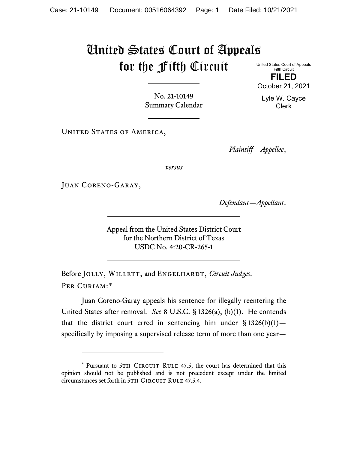## United States Court of Appeals for the Fifth Circuit

United States Court of Appeals Fifth Circuit **FILED** October 21, 2021

No. 21-10149 Summary Calendar

UNITED STATES OF AMERICA,

*Plaintiff—Appellee*,

*versus*

Juan Coreno-Garay,

*Defendant—Appellant*.

Appeal from the United States District Court for the Northern District of Texas USDC No. 4:20-CR-265-1

Before JOLLY, WILLETT, and ENGELHARDT, *Circuit Judges*. Per Curiam:[\\*](#page-0-0)

Juan Coreno-Garay appeals his sentence for illegally reentering the United States after removal. *See* 8 U.S.C. § 1326(a), (b)(1). He contends that the district court erred in sentencing him under  $\S 1326(b)(1)$  – specifically by imposing a supervised release term of more than one year—

Lyle W. Cayce Clerk

<span id="page-0-0"></span><sup>\*</sup> Pursuant to 5TH CIRCUIT RULE 47.5, the court has determined that this opinion should not be published and is not precedent except under the limited circumstances set forth in 5TH CIRCUIT RULE 47.5.4.